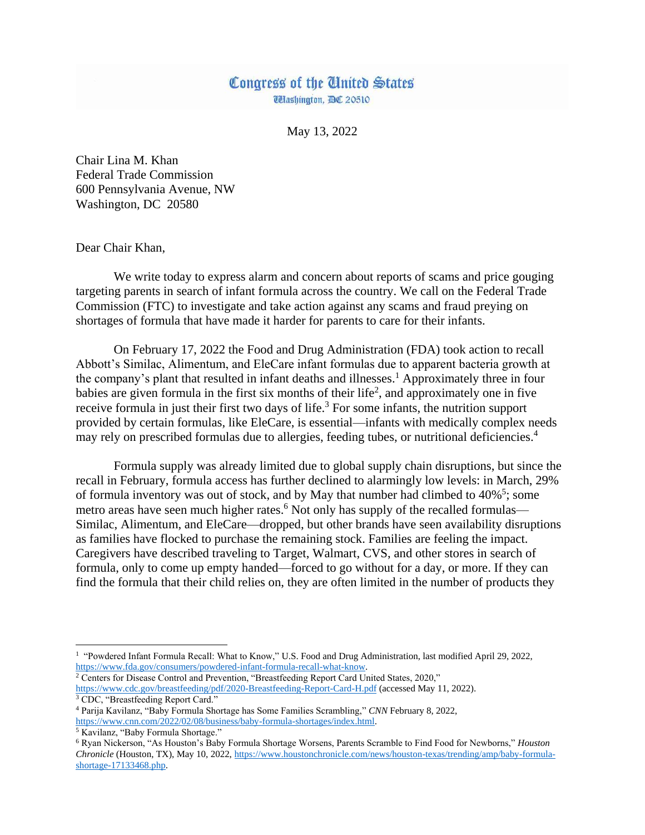## Congress of the United States **Washington, DC 20510**

May 13, 2022

Chair Lina M. Khan Federal Trade Commission 600 Pennsylvania Avenue, NW Washington, DC 20580

Dear Chair Khan,

We write today to express alarm and concern about reports of scams and price gouging targeting parents in search of infant formula across the country. We call on the Federal Trade Commission (FTC) to investigate and take action against any scams and fraud preying on shortages of formula that have made it harder for parents to care for their infants.

On February 17, 2022 the Food and Drug Administration (FDA) took action to recall Abbott's Similac, Alimentum, and EleCare infant formulas due to apparent bacteria growth at the company's plant that resulted in infant deaths and illnesses.<sup>1</sup> Approximately three in four babies are given formula in the first six months of their life<sup>2</sup>, and approximately one in five receive formula in just their first two days of life.<sup>3</sup> For some infants, the nutrition support provided by certain formulas, like EleCare, is essential—infants with medically complex needs may rely on prescribed formulas due to allergies, feeding tubes, or nutritional deficiencies.<sup>4</sup>

Formula supply was already limited due to global supply chain disruptions, but since the recall in February, formula access has further declined to alarmingly low levels: in March, 29% of formula inventory was out of stock, and by May that number had climbed to  $40\%$ <sup>5</sup>; some metro areas have seen much higher rates.<sup>6</sup> Not only has supply of the recalled formulas— Similac, Alimentum, and EleCare—dropped, but other brands have seen availability disruptions as families have flocked to purchase the remaining stock. Families are feeling the impact. Caregivers have described traveling to Target, Walmart, CVS, and other stores in search of formula, only to come up empty handed—forced to go without for a day, or more. If they can find the formula that their child relies on, they are often limited in the number of products they

<sup>2</sup> Centers for Disease Control and Prevention, "Breastfeeding Report Card United States, 2020," <https://www.cdc.gov/breastfeeding/pdf/2020-Breastfeeding-Report-Card-H.pdf> (accessed May 11, 2022).

 $\overline{\phantom{a}}$ 

<sup>&</sup>lt;sup>1</sup> "Powdered Infant Formula Recall: What to Know," U.S. Food and Drug Administration, last modified April 29, 2022, [https://www.fda.gov/consumers/powdered-infant-formula-recall-what-know.](https://www.fda.gov/consumers/powdered-infant-formula-recall-what-know)

<sup>&</sup>lt;sup>3</sup> CDC, "Breastfeeding Report Card."

<sup>4</sup> Parija Kavilanz, "Baby Formula Shortage has Some Families Scrambling," *CNN* February 8, 2022, [https://www.cnn.com/2022/02/08/business/baby-formula-shortages/index.html.](https://www.cnn.com/2022/02/08/business/baby-formula-shortages/index.html)

<sup>&</sup>lt;sup>5</sup> Kavilanz, "Baby Formula Shortage."

<sup>6</sup> Ryan Nickerson, "As Houston's Baby Formula Shortage Worsens, Parents Scramble to Find Food for Newborns," *Houston Chronicle* (Houston, TX), May 10, 2022[, https://www.houstonchronicle.com/news/houston-texas/trending/amp/baby-formula](https://www.houstonchronicle.com/news/houston-texas/trending/amp/baby-formula-shortage-17133468.php)[shortage-17133468.php.](https://www.houstonchronicle.com/news/houston-texas/trending/amp/baby-formula-shortage-17133468.php)